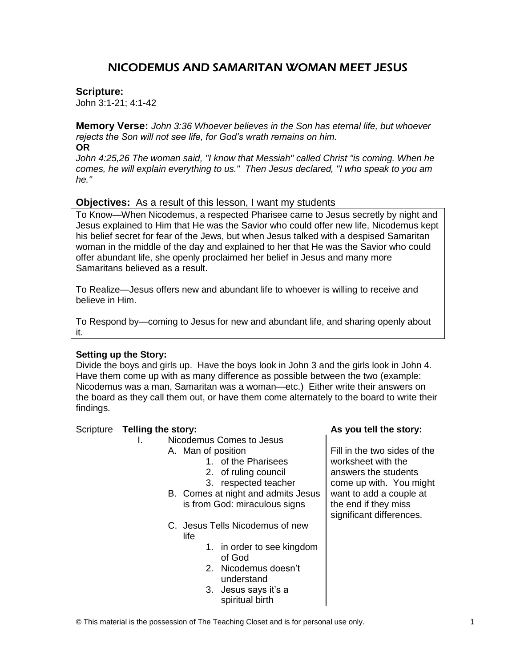# NICODEMUS AND SAMARITAN WOMAN MEET JESUS

#### **Scripture:**

John 3:1-21; 4:1-42

**Memory Verse:** *John 3:36 Whoever believes in the Son has eternal life, but whoever rejects the Son will not see life, for God's wrath remains on him.* 

**OR** 

*John 4:25,26 The woman said, "I know that Messiah" called Christ "is coming. When he comes, he will explain everything to us." Then Jesus declared, "I who speak to you am he."*

## **Objectives:** As a result of this lesson, I want my students

To Know—When Nicodemus, a respected Pharisee came to Jesus secretly by night and Jesus explained to Him that He was the Savior who could offer new life, Nicodemus kept his belief secret for fear of the Jews, but when Jesus talked with a despised Samaritan woman in the middle of the day and explained to her that He was the Savior who could offer abundant life, she openly proclaimed her belief in Jesus and many more Samaritans believed as a result.

To Realize—Jesus offers new and abundant life to whoever is willing to receive and believe in Him.

To Respond by—coming to Jesus for new and abundant life, and sharing openly about it.

## **Setting up the Story:**

Divide the boys and girls up. Have the boys look in John 3 and the girls look in John 4. Have them come up with as many difference as possible between the two (example: Nicodemus was a man, Samaritan was a woman—etc.) Either write their answers on the board as they call them out, or have them come alternately to the board to write their findings.

## Scripture **Telling the story: As you tell the story:**

#### I. Nicodemus Comes to Jesus A. Man of position

- 1. of the Pharisees
- 2. of ruling council
- 3. respected teacher
- B. Comes at night and admits Jesus is from God: miraculous signs
- C. Jesus Tells Nicodemus of new life
	- 1. in order to see kingdom of God
	- 2. Nicodemus doesn't understand
	- 3. Jesus says it's a spiritual birth

Fill in the two sides of the worksheet with the answers the students come up with. You might want to add a couple at the end if they miss significant differences.

© This material is the possession of The Teaching Closet and is for personal use only. 1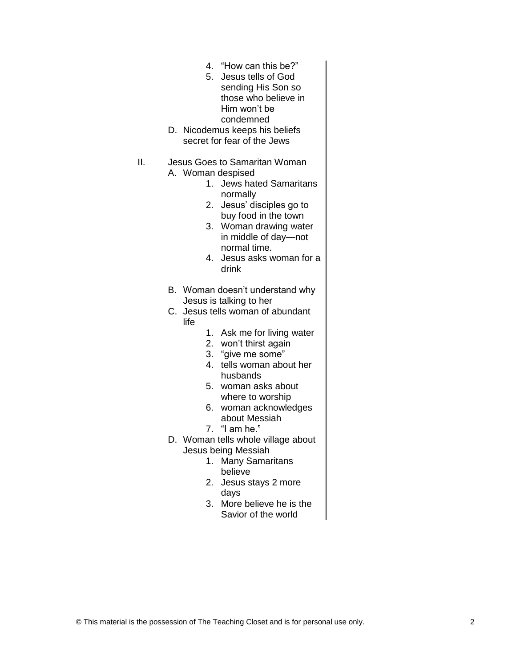- 4. "How can this be?"
- 5. Jesus tells of God sending His Son so those who believe in Him won't be condemned
- D. Nicodemus keeps his beliefs secret for fear of the Jews
- II. Jesus Goes to Samaritan Woman
	- A. Woman despised
		- 1. Jews hated Samaritans normally
		- 2. Jesus' disciples go to buy food in the town
		- 3. Woman drawing water in middle of day—not normal time.
		- 4. Jesus asks woman for a drink
	- B. Woman doesn't understand why Jesus is talking to her
	- C. Jesus tells woman of abundant life
		- 1. Ask me for living water
		- 2. won't thirst again
		- 3. "give me some"
		- 4. tells woman about her husbands
		- 5. woman asks about where to worship
		- 6. woman acknowledges about Messiah
		- 7. "I am he."
	- D. Woman tells whole village about Jesus being Messiah
		- 1. Many Samaritans believe
		- 2. Jesus stays 2 more days
		- 3. More believe he is the Savior of the world